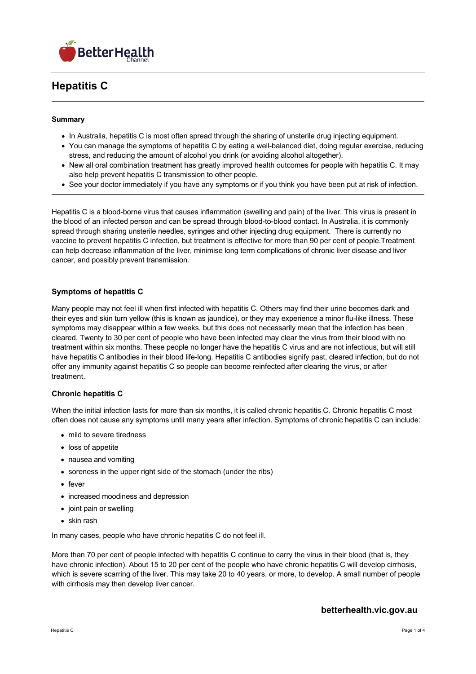

# **Hepatitis C**

#### **Summary**

- In Australia, hepatitis C is most often spread through the sharing of unsterile drug injecting equipment.
- You can manage the symptoms of hepatitis C by eating a well-balanced diet, doing regular exercise, reducing stress, and reducing the amount of alcohol you drink (or avoiding alcohol altogether).
- New all oral combination treatment has greatly improved health outcomes for people with hepatitis C. It may also help prevent hepatitis C transmission to other people.
- See your doctor immediately if you have any symptoms or if you think you have been put at risk of infection.

Hepatitis C is a blood-borne virus that causes inflammation (swelling and pain) of the liver. This virus is present in the blood of an infected person and can be spread through blood-to-blood contact. In Australia, it is commonly spread through sharing unsterile needles, syringes and other injecting drug equipment. There is currently no vaccine to prevent hepatitis C infection, but treatment is effective for more than 90 per cent of people.Treatment can help decrease inflammation of the liver, minimise long term complications of chronic liver disease and liver cancer, and possibly prevent transmission.

## **Symptoms of hepatitis C**

Many people may not feel ill when first infected with hepatitis C. Others may find their urine becomes dark and their eyes and skin turn yellow (this is known as jaundice), or they may experience a minor flu-like illness. These symptoms may disappear within a few weeks, but this does not necessarily mean that the infection has been cleared. Twenty to 30 per cent of people who have been infected may clear the virus from their blood with no treatment within six months. These people no longer have the hepatitis C virus and are not infectious, but will still have hepatitis C antibodies in their blood life-long. Hepatitis C antibodies signify past, cleared infection, but do not offer any immunity against hepatitis C so people can become reinfected after clearing the virus, or after treatment.

#### **Chronic hepatitis C**

When the initial infection lasts for more than six months, it is called chronic hepatitis C. Chronic hepatitis C most often does not cause any symptoms until many years after infection. Symptoms of chronic hepatitis C can include:

- mild to severe tiredness
- loss of appetite
- nausea and vomiting
- soreness in the upper right side of the stomach (under the ribs)
- fever
- increased moodiness and depression
- joint pain or swelling
- skin rash

In many cases, people who have chronic hepatitis C do not feel ill.

More than 70 per cent of people infected with hepatitis C continue to carry the virus in their blood (that is, they have chronic infection). About 15 to 20 per cent of the people who have chronic hepatitis C will develop cirrhosis, which is severe scarring of the liver. This may take 20 to 40 years, or more, to develop. A small number of people with cirrhosis may then develop liver cancer.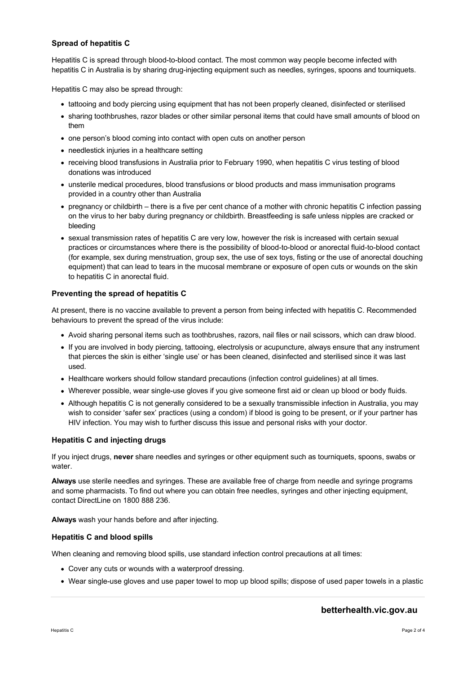## **Spread of hepatitis C**

Hepatitis C is spread through blood-to-blood contact. The most common way people become infected with hepatitis C in Australia is by sharing drug-injecting equipment such as needles, syringes, spoons and tourniquets.

Hepatitis C may also be spread through:

- tattooing and body piercing using equipment that has not been properly cleaned, disinfected or sterilised
- sharing toothbrushes, razor blades or other similar personal items that could have small amounts of blood on them
- one person's blood coming into contact with open cuts on another person
- needlestick injuries in a healthcare setting
- receiving blood transfusions in Australia prior to February 1990, when hepatitis C virus testing of blood donations was introduced
- unsterile medical procedures, blood transfusions or blood products and mass immunisation programs provided in a country other than Australia
- pregnancy or childbirth there is a five per cent chance of a mother with chronic hepatitis C infection passing on the virus to her baby during pregnancy or childbirth. Breastfeeding is safe unless nipples are cracked or bleeding
- sexual transmission rates of hepatitis C are very low, however the risk is increased with certain sexual practices or circumstances where there is the possibility of blood-to-blood or anorectal fluid-to-blood contact (for example, sex during menstruation, group sex, the use of sex toys, fisting or the use of anorectal douching equipment) that can lead to tears in the mucosal membrane or exposure of open cuts or wounds on the skin to hepatitis C in anorectal fluid.

## **Preventing the spread of hepatitis C**

At present, there is no vaccine available to prevent a person from being infected with hepatitis C. Recommended behaviours to prevent the spread of the virus include:

- Avoid sharing personal items such as toothbrushes, razors, nail files or nail scissors, which can draw blood.
- If you are involved in body piercing, tattooing, electrolysis or acupuncture, always ensure that any instrument that pierces the skin is either 'single use' or has been cleaned, disinfected and sterilised since it was last used.
- Healthcare workers should follow standard precautions (infection control guidelines) at all times.
- Wherever possible, wear single-use gloves if you give someone first aid or clean up blood or body fluids.
- Although hepatitis C is not generally considered to be a sexually transmissible infection in Australia, you may wish to consider 'safer sex' practices (using a condom) if blood is going to be present, or if your partner has HIV infection. You may wish to further discuss this issue and personal risks with your doctor.

#### **Hepatitis C and injecting drugs**

If you inject drugs, **never** share needles and syringes or other equipment such as tourniquets, spoons, swabs or water.

**Always** use sterile needles and syringes. These are available free of charge from needle and syringe programs and some pharmacists. To find out where you can obtain free needles, syringes and other injecting equipment, contact DirectLine on 1800 888 236.

**Always** wash your hands before and after injecting.

#### **Hepatitis C and blood spills**

When cleaning and removing blood spills, use standard infection control precautions at all times:

- Cover any cuts or wounds with a waterproof dressing.
- Wear single-use gloves and use paper towel to mop up blood spills; dispose of used paper towels in a plastic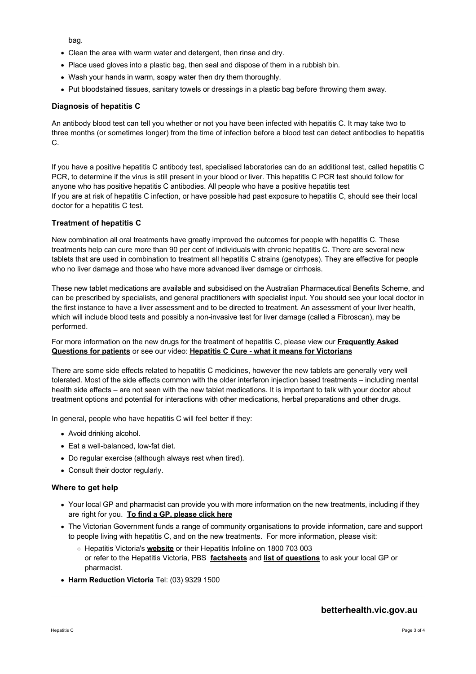bag.

- Clean the area with warm water and detergent, then rinse and dry.
- Place used gloves into a plastic bag, then seal and dispose of them in a rubbish bin.
- Wash your hands in warm, soapy water then dry them thoroughly.
- Put bloodstained tissues, sanitary towels or dressings in a plastic bag before throwing them away.

### **Diagnosis of hepatitis C**

An antibody blood test can tell you whether or not you have been infected with hepatitis C. It may take two to three months (or sometimes longer) from the time of infection before a blood test can detect antibodies to hepatitis C.

If you have a positive hepatitis C antibody test, specialised laboratories can do an additional test, called hepatitis C PCR, to determine if the virus is still present in your blood or liver. This hepatitis C PCR test should follow for anyone who has positive hepatitis C antibodies. All people who have a positive hepatitis test If you are at risk of hepatitis C infection, or have possible had past exposure to hepatitis C, should see their local doctor for a hepatitis C test.

## **Treatment of hepatitis C**

New combination all oral treatments have greatly improved the outcomes for people with hepatitis C. These treatments help can cure more than 90 per cent of individuals with chronic hepatitis C. There are several new tablets that are used in combination to treatment all hepatitis C strains (genotypes). They are effective for people who no liver damage and those who have more advanced liver damage or cirrhosis.

These new tablet medications are available and subsidised on the Australian Pharmaceutical Benefits Scheme, and can be prescribed by specialists, and general practitioners with specialist input. You should see your local doctor in the first instance to have a liver assessment and to be directed to treatment. An assessment of your liver health, which will include blood tests and possibly a non-invasive test for liver damage (called a Fibroscan), may be performed.

[For more information on the new drugs for the treatment of hepatitis C, please view our](https://www.betterhealth.vic.gov.au/health/conditionsandtreatments/hepatitis-c-faq) **Frequently Asked Questions for patients** or see our video: **[Hepatitis C Cure - what it means for Victorians](https://www.betterhealth.vic.gov.au/health/videos/Hepatitis%20C%20Cure)**

There are some side effects related to hepatitis C medicines, however the new tablets are generally very well tolerated. Most of the side effects common with the older interferon injection based treatments – including mental health side effects – are not seen with the new tablet medications. It is important to talk with your doctor about treatment options and potential for interactions with other medications, herbal preparations and other drugs.

In general, people who have hepatitis C will feel better if they:

- Avoid drinking alcohol.
- Eat a well-balanced, low-fat diet.
- Do regular exercise (although always rest when tired).
- Consult their doctor regularly.

#### **Where to get help**

- Your local GP and pharmacist can provide you with more information on the new treatments, including if they are right for you. **[To find a GP, please click here](https://www.betterhealth.vic.gov.au/servicesandsupport)**
- The Victorian Government funds a range of community organisations to provide information, care and support to people living with hepatitis C, and on the new treatments. For more information, please visit:
	- Hepatitis Victoria's **[website](http://www.hepvic.org.au)** or their Hepatitis Infoline on 1800 703 003 or refer to the Hepatitis Victoria, PBS **[factsheets](http://www.hepvic.org.au/page/12/hepatitis-c-what-is)** and **[list of questions](http://www.hepvic.org.au/news/2097/new-hepatitis-c-medications-from-march-2016)** to ask your local GP or pharmacist.
- **[Harm Reduction Victoria](http://hrvic.org.au)** Tel: (03) 9329 1500

## **betterhealth.vic.gov.au**